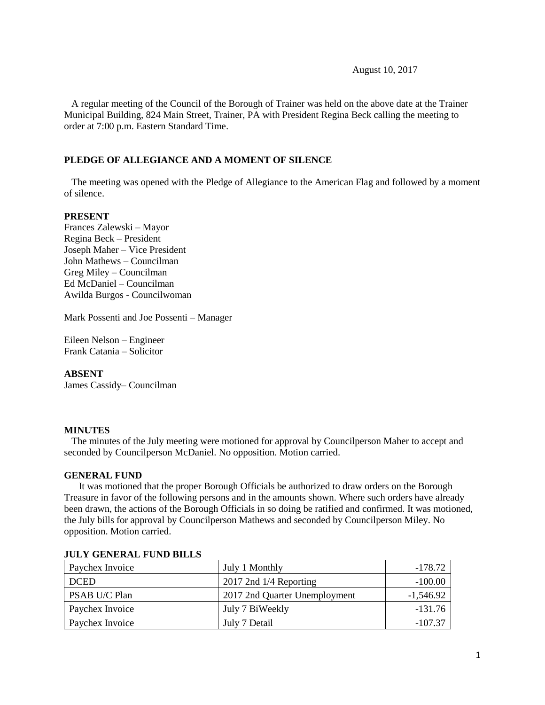August 10, 2017

 A regular meeting of the Council of the Borough of Trainer was held on the above date at the Trainer Municipal Building, 824 Main Street, Trainer, PA with President Regina Beck calling the meeting to order at 7:00 p.m. Eastern Standard Time.

#### **PLEDGE OF ALLEGIANCE AND A MOMENT OF SILENCE**

 The meeting was opened with the Pledge of Allegiance to the American Flag and followed by a moment of silence.

#### **PRESENT**

Frances Zalewski – Mayor Regina Beck – President Joseph Maher – Vice President John Mathews – Councilman Greg Miley – Councilman Ed McDaniel – Councilman Awilda Burgos - Councilwoman

Mark Possenti and Joe Possenti – Manager

Eileen Nelson – Engineer Frank Catania – Solicitor

#### **ABSENT**

James Cassidy– Councilman

#### **MINUTES**

The minutes of the July meeting were motioned for approval by Councilperson Maher to accept and seconded by Councilperson McDaniel. No opposition. Motion carried.

#### **GENERAL FUND**

 It was motioned that the proper Borough Officials be authorized to draw orders on the Borough Treasure in favor of the following persons and in the amounts shown. Where such orders have already been drawn, the actions of the Borough Officials in so doing be ratified and confirmed. It was motioned, the July bills for approval by Councilperson Mathews and seconded by Councilperson Miley. No opposition. Motion carried.

| Paychex Invoice | July 1 Monthly                | -178.72     |
|-----------------|-------------------------------|-------------|
| <b>DCED</b>     | $2017$ 2nd $1/4$ Reporting    | $-100.00$   |
| PSAB U/C Plan   | 2017 2nd Quarter Unemployment | $-1,546.92$ |
| Paychex Invoice | July 7 BiWeekly               | $-131.76$   |
| Paychex Invoice | July 7 Detail                 | $-107.37$   |

#### **JULY GENERAL FUND BILLS**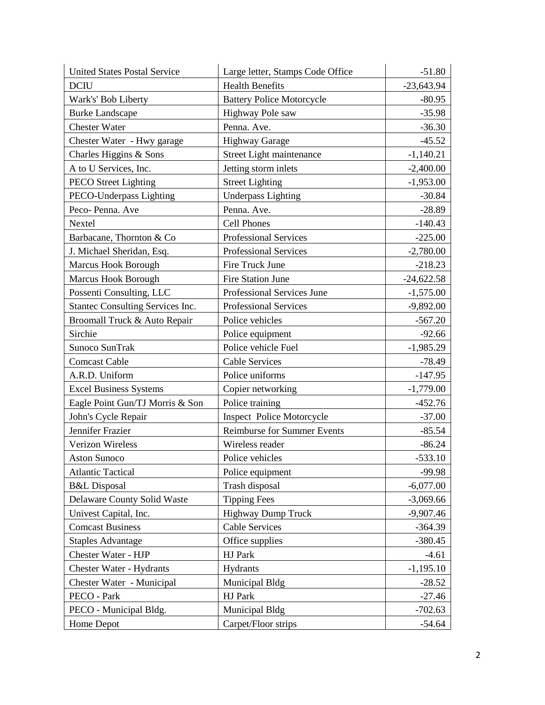| <b>United States Postal Service</b> | Large letter, Stamps Code Office   | $-51.80$     |
|-------------------------------------|------------------------------------|--------------|
| <b>DCIU</b>                         | <b>Health Benefits</b>             | $-23,643.94$ |
| Wark's' Bob Liberty                 | <b>Battery Police Motorcycle</b>   | $-80.95$     |
| <b>Burke Landscape</b>              | Highway Pole saw                   | $-35.98$     |
| <b>Chester Water</b>                | Penna. Ave.                        | $-36.30$     |
| Chester Water - Hwy garage          | <b>Highway Garage</b>              | $-45.52$     |
| Charles Higgins & Sons              | Street Light maintenance           | $-1,140.21$  |
| A to U Services, Inc.               | Jetting storm inlets               | $-2,400.00$  |
| <b>PECO</b> Street Lighting         | <b>Street Lighting</b>             | $-1,953.00$  |
| PECO-Underpass Lighting             | <b>Underpass Lighting</b>          | $-30.84$     |
| Peco-Penna. Ave                     | Penna. Ave.                        | $-28.89$     |
| Nextel                              | Cell Phones                        | $-140.43$    |
| Barbacane, Thornton & Co            | <b>Professional Services</b>       | $-225.00$    |
| J. Michael Sheridan, Esq.           | Professional Services              | $-2,780.00$  |
| Marcus Hook Borough                 | Fire Truck June                    | $-218.23$    |
| <b>Marcus Hook Borough</b>          | <b>Fire Station June</b>           | $-24,622.58$ |
| Possenti Consulting, LLC            | Professional Services June         | $-1,575.00$  |
| Stantec Consulting Services Inc.    | <b>Professional Services</b>       | $-9,892.00$  |
| Broomall Truck & Auto Repair        | Police vehicles                    | $-567.20$    |
| Sirchie                             | Police equipment                   | $-92.66$     |
| Sunoco SunTrak                      | Police vehicle Fuel                | $-1,985.29$  |
| <b>Comcast Cable</b>                | <b>Cable Services</b>              | $-78.49$     |
| A.R.D. Uniform                      | Police uniforms                    | $-147.95$    |
| <b>Excel Business Systems</b>       | Copier networking                  | $-1,779.00$  |
| Eagle Point Gun/TJ Morris & Son     | Police training                    | $-452.76$    |
| John's Cycle Repair                 | <b>Inspect Police Motorcycle</b>   | $-37.00$     |
| Jennifer Frazier                    | <b>Reimburse for Summer Events</b> | $-85.54$     |
| Verizon Wireless                    | Wireless reader                    | $-86.24$     |
| <b>Aston Sunoco</b>                 | Police vehicles                    | $-533.10$    |
| <b>Atlantic Tactical</b>            | Police equipment                   | $-99.98$     |
| <b>B&amp;L</b> Disposal             | Trash disposal                     | $-6,077.00$  |
| Delaware County Solid Waste         | <b>Tipping Fees</b>                | $-3,069.66$  |
| Univest Capital, Inc.               | <b>Highway Dump Truck</b>          | $-9,907.46$  |
| <b>Comcast Business</b>             | <b>Cable Services</b>              | $-364.39$    |
| <b>Staples Advantage</b>            | Office supplies                    | $-380.45$    |
| Chester Water - HJP                 | <b>HJ</b> Park                     | $-4.61$      |
| Chester Water - Hydrants            | Hydrants                           | $-1,195.10$  |
| Chester Water - Municipal           | Municipal Bldg                     | $-28.52$     |
| PECO - Park                         | HJ Park                            | $-27.46$     |
| PECO - Municipal Bldg.              | Municipal Bldg                     | $-702.63$    |
| Home Depot                          | Carpet/Floor strips                | $-54.64$     |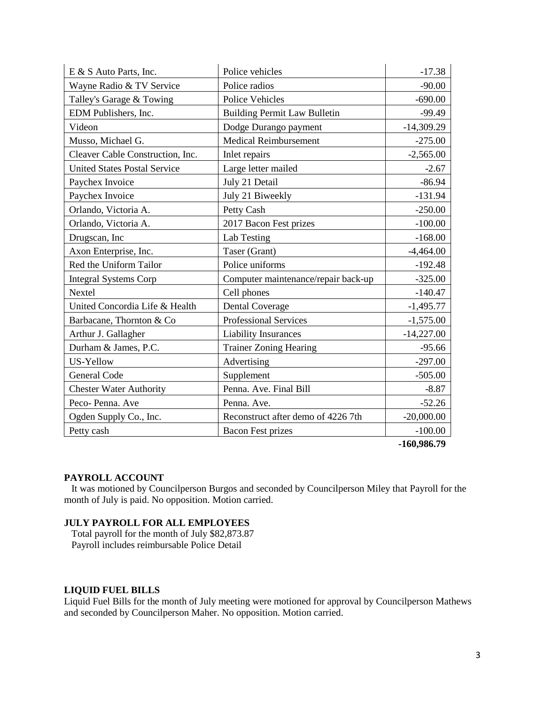| E & S Auto Parts, Inc.              | Police vehicles                     | $-17.38$     |
|-------------------------------------|-------------------------------------|--------------|
| Wayne Radio & TV Service            | Police radios                       | $-90.00$     |
| Talley's Garage & Towing            | <b>Police Vehicles</b>              | $-690.00$    |
| EDM Publishers, Inc.                | <b>Building Permit Law Bulletin</b> | $-99.49$     |
| Videon                              | Dodge Durango payment               | $-14,309.29$ |
| Musso, Michael G.                   | <b>Medical Reimbursement</b>        | $-275.00$    |
| Cleaver Cable Construction, Inc.    | Inlet repairs                       | $-2,565.00$  |
| <b>United States Postal Service</b> | Large letter mailed                 | $-2.67$      |
| Paychex Invoice                     | July 21 Detail                      | $-86.94$     |
| Paychex Invoice                     | July 21 Biweekly                    | $-131.94$    |
| Orlando, Victoria A.                | Petty Cash                          | $-250.00$    |
| Orlando, Victoria A.                | 2017 Bacon Fest prizes              | $-100.00$    |
| Drugscan, Inc                       | Lab Testing                         | $-168.00$    |
| Axon Enterprise, Inc.               | Taser (Grant)                       | $-4,464.00$  |
| Red the Uniform Tailor              | Police uniforms                     | $-192.48$    |
| <b>Integral Systems Corp</b>        | Computer maintenance/repair back-up | $-325.00$    |
| Nextel                              | Cell phones                         | $-140.47$    |
| United Concordia Life & Health      | <b>Dental Coverage</b>              | $-1,495.77$  |
| Barbacane, Thornton & Co            | <b>Professional Services</b>        | $-1,575.00$  |
| Arthur J. Gallagher                 | <b>Liability Insurances</b>         | $-14,227.00$ |
| Durham & James, P.C.                | <b>Trainer Zoning Hearing</b>       | $-95.66$     |
| US-Yellow                           | Advertising                         | $-297.00$    |
| <b>General Code</b>                 | Supplement                          | $-505.00$    |
| <b>Chester Water Authority</b>      | Penna. Ave. Final Bill              | $-8.87$      |
| Peco-Penna. Ave                     | Penna. Ave.                         | $-52.26$     |
| Ogden Supply Co., Inc.              | Reconstruct after demo of 4226 7th  | $-20,000.00$ |
| Petty cash                          | <b>Bacon Fest prizes</b>            | $-100.00$    |

**-160,986.79**

#### **PAYROLL ACCOUNT**

 It was motioned by Councilperson Burgos and seconded by Councilperson Miley that Payroll for the month of July is paid. No opposition. Motion carried.

## **JULY PAYROLL FOR ALL EMPLOYEES**

 Total payroll for the month of July \$82,873.87 Payroll includes reimbursable Police Detail

#### **LIQUID FUEL BILLS**

Liquid Fuel Bills for the month of July meeting were motioned for approval by Councilperson Mathews and seconded by Councilperson Maher. No opposition. Motion carried.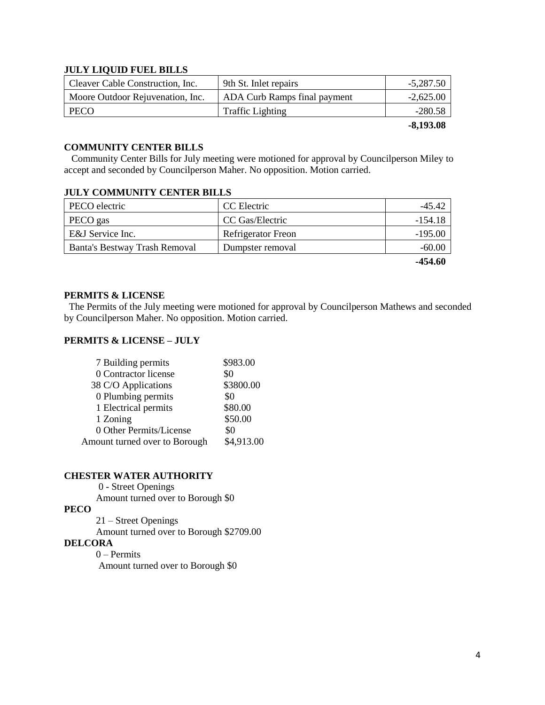#### **JULY LIQUID FUEL BILLS**

| Cleaver Cable Construction, Inc. | 9th St. Inlet repairs        | $-5,287.50$ |
|----------------------------------|------------------------------|-------------|
| Moore Outdoor Rejuvenation, Inc. | ADA Curb Ramps final payment | $-2.625.00$ |
| PECO                             | Traffic Lighting             | $-280.58$   |
|                                  |                              | $-8,193.08$ |

#### **COMMUNITY CENTER BILLS**

 Community Center Bills for July meeting were motioned for approval by Councilperson Miley to accept and seconded by Councilperson Maher. No opposition. Motion carried.

#### **JULY COMMUNITY CENTER BILLS**

| PECO electric                 | CC Electric               | $-45.47$  |
|-------------------------------|---------------------------|-----------|
| PECO gas                      | CC Gas/Electric           | -154.18   |
| E&J Service Inc.              | <b>Refrigerator Freon</b> | $-195.00$ |
| Banta's Bestway Trash Removal | Dumpster removal          | $-60.00$  |
|                               |                           |           |

**-454.60**

#### **PERMITS & LICENSE**

The Permits of the July meeting were motioned for approval by Councilperson Mathews and seconded by Councilperson Maher. No opposition. Motion carried.

### **PERMITS & LICENSE – JULY**

| 7 Building permits            | \$983.00   |
|-------------------------------|------------|
| 0 Contractor license          | \$0        |
| 38 C/O Applications           | \$3800.00  |
| 0 Plumbing permits            | \$0        |
| 1 Electrical permits          | \$80.00    |
| 1 Zoning                      | \$50.00    |
| 0 Other Permits/License       | \$0        |
| Amount turned over to Borough | \$4,913.00 |

### **CHESTER WATER AUTHORITY**

0 - Street Openings

Amount turned over to Borough \$0

# **PECO**

21 – Street Openings

Amount turned over to Borough \$2709.00

#### **DELCORA**

0 – Permits

Amount turned over to Borough \$0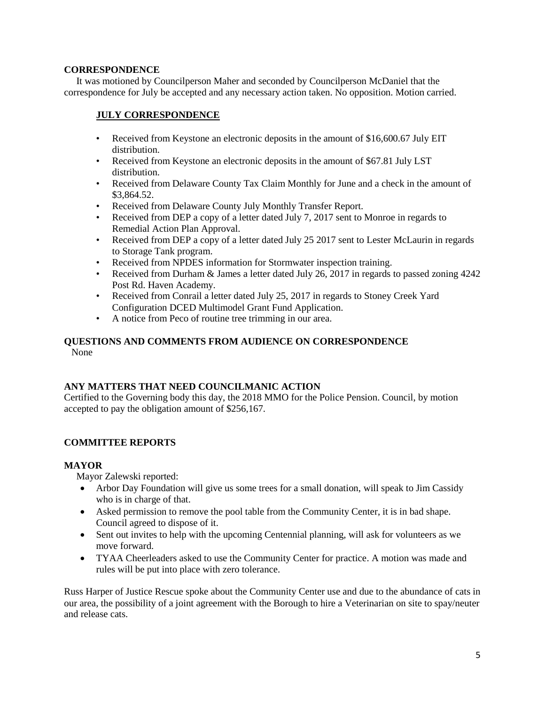## **CORRESPONDENCE**

 It was motioned by Councilperson Maher and seconded by Councilperson McDaniel that the correspondence for July be accepted and any necessary action taken. No opposition. Motion carried.

# **JULY CORRESPONDENCE**

- Received from Keystone an electronic deposits in the amount of \$16,600.67 July EIT distribution.
- Received from Keystone an electronic deposits in the amount of \$67.81 July LST distribution.
- Received from Delaware County Tax Claim Monthly for June and a check in the amount of \$3,864.52.
- Received from Delaware County July Monthly Transfer Report.
- Received from DEP a copy of a letter dated July 7, 2017 sent to Monroe in regards to Remedial Action Plan Approval.
- Received from DEP a copy of a letter dated July 25 2017 sent to Lester McLaurin in regards to Storage Tank program.
- Received from NPDES information for Stormwater inspection training.
- Received from Durham & James a letter dated July 26, 2017 in regards to passed zoning 4242 Post Rd. Haven Academy.
- Received from Conrail a letter dated July 25, 2017 in regards to Stoney Creek Yard Configuration DCED Multimodel Grant Fund Application.
- A notice from Peco of routine tree trimming in our area.

## **QUESTIONS AND COMMENTS FROM AUDIENCE ON CORRESPONDENCE** None

#### **ANY MATTERS THAT NEED COUNCILMANIC ACTION**

Certified to the Governing body this day, the 2018 MMO for the Police Pension. Council, by motion accepted to pay the obligation amount of \$256,167.

# **COMMITTEE REPORTS**

# **MAYOR**

Mayor Zalewski reported:

- Arbor Day Foundation will give us some trees for a small donation, will speak to Jim Cassidy who is in charge of that.
- Asked permission to remove the pool table from the Community Center, it is in bad shape. Council agreed to dispose of it.
- Sent out invites to help with the upcoming Centennial planning, will ask for volunteers as we move forward.
- TYAA Cheerleaders asked to use the Community Center for practice. A motion was made and rules will be put into place with zero tolerance.

Russ Harper of Justice Rescue spoke about the Community Center use and due to the abundance of cats in our area, the possibility of a joint agreement with the Borough to hire a Veterinarian on site to spay/neuter and release cats.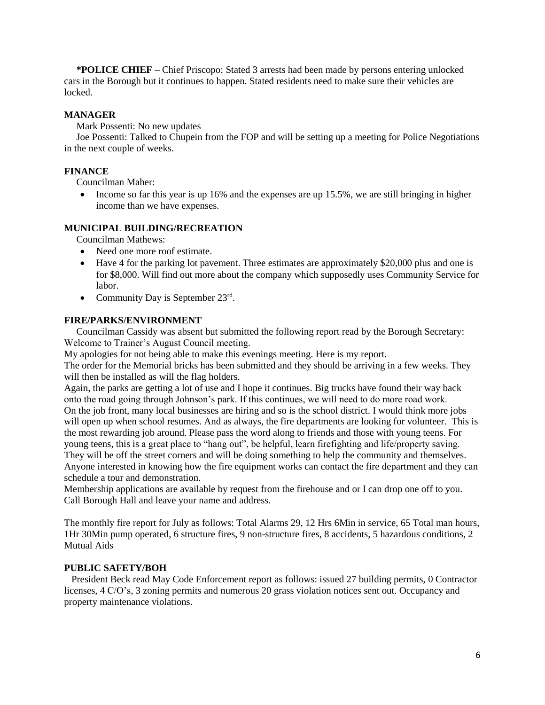**\*POLICE CHIEF –** Chief Priscopo: Stated 3 arrests had been made by persons entering unlocked cars in the Borough but it continues to happen. Stated residents need to make sure their vehicles are locked.

### **MANAGER**

Mark Possenti: No new updates

 Joe Possenti: Talked to Chupein from the FOP and will be setting up a meeting for Police Negotiations in the next couple of weeks.

### **FINANCE**

Councilman Maher:

• Income so far this year is up  $16\%$  and the expenses are up 15.5%, we are still bringing in higher income than we have expenses.

#### **MUNICIPAL BUILDING/RECREATION**

Councilman Mathews:

- Need one more roof estimate.
- Have 4 for the parking lot pavement. Three estimates are approximately \$20,000 plus and one is for \$8,000. Will find out more about the company which supposedly uses Community Service for labor.
- Community Day is September  $23<sup>rd</sup>$ .

#### **FIRE/PARKS/ENVIRONMENT**

 Councilman Cassidy was absent but submitted the following report read by the Borough Secretary: Welcome to Trainer's August Council meeting.

My apologies for not being able to make this evenings meeting. Here is my report.

The order for the Memorial bricks has been submitted and they should be arriving in a few weeks. They will then be installed as will the flag holders.

Again, the parks are getting a lot of use and I hope it continues. Big trucks have found their way back onto the road going through Johnson's park. If this continues, we will need to do more road work. On the job front, many local businesses are hiring and so is the school district. I would think more jobs will open up when school resumes. And as always, the fire departments are looking for volunteer. This is the most rewarding job around. Please pass the word along to friends and those with young teens. For young teens, this is a great place to "hang out", be helpful, learn firefighting and life/property saving. They will be off the street corners and will be doing something to help the community and themselves. Anyone interested in knowing how the fire equipment works can contact the fire department and they can schedule a tour and demonstration.

Membership applications are available by request from the firehouse and or I can drop one off to you. Call Borough Hall and leave your name and address.

The monthly fire report for July as follows: Total Alarms 29, 12 Hrs 6Min in service, 65 Total man hours, 1Hr 30Min pump operated, 6 structure fires, 9 non-structure fires, 8 accidents, 5 hazardous conditions, 2 Mutual Aids

#### **PUBLIC SAFETY/BOH**

 President Beck read May Code Enforcement report as follows: issued 27 building permits, 0 Contractor licenses, 4 C/O's, 3 zoning permits and numerous 20 grass violation notices sent out. Occupancy and property maintenance violations.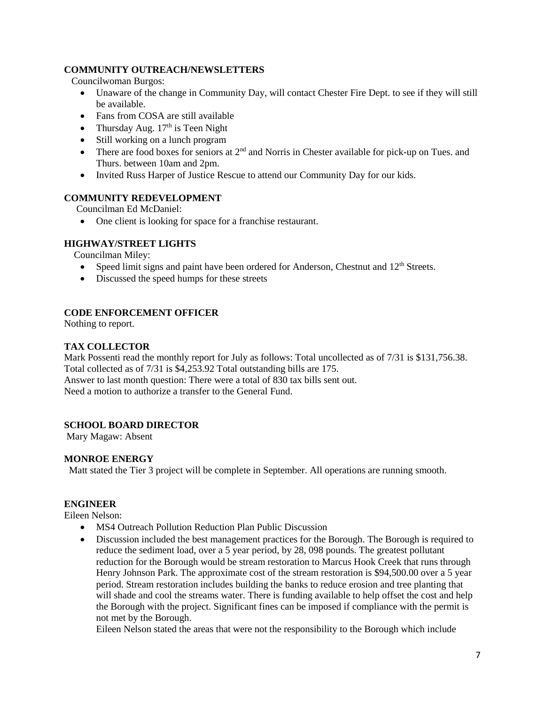### **COMMUNITY OUTREACH/NEWSLETTERS**

Councilwoman Burgos:

- Unaware of the change in Community Day, will contact Chester Fire Dept. to see if they will still be available.
- Fans from COSA are still available
- Thursday Aug.  $17<sup>th</sup>$  is Teen Night
- Still working on a lunch program
- $\bullet$  There are food boxes for seniors at  $2<sup>nd</sup>$  and Norris in Chester available for pick-up on Tues. and Thurs. between 10am and 2pm.
- Invited Russ Harper of Justice Rescue to attend our Community Day for our kids.

#### **COMMUNITY REDEVELOPMENT**

Councilman Ed McDaniel:

• One client is looking for space for a franchise restaurant.

## **HIGHWAY/STREET LIGHTS**

Councilman Miley:

- Speed limit signs and paint have been ordered for Anderson, Chestnut and  $12<sup>th</sup>$  Streets.
- Discussed the speed humps for these streets

#### **CODE ENFORCEMENT OFFICER**

Nothing to report.

#### **TAX COLLECTOR**

Mark Possenti read the monthly report for July as follows: Total uncollected as of 7/31 is \$131,756.38. Total collected as of 7/31 is \$4,253.92 Total outstanding bills are 175. Answer to last month question: There were a total of 830 tax bills sent out. Need a motion to authorize a transfer to the General Fund.

#### **SCHOOL BOARD DIRECTOR**

Mary Magaw: Absent

#### **MONROE ENERGY**

Matt stated the Tier 3 project will be complete in September. All operations are running smooth.

## **ENGINEER**

Eileen Nelson:

- MS4 Outreach Pollution Reduction Plan Public Discussion
- Discussion included the best management practices for the Borough. The Borough is required to reduce the sediment load, over a 5 year period, by 28, 098 pounds. The greatest pollutant reduction for the Borough would be stream restoration to Marcus Hook Creek that runs through Henry Johnson Park. The approximate cost of the stream restoration is \$94,500.00 over a 5 year period. Stream restoration includes building the banks to reduce erosion and tree planting that will shade and cool the streams water. There is funding available to help offset the cost and help the Borough with the project. Significant fines can be imposed if compliance with the permit is not met by the Borough.

Eileen Nelson stated the areas that were not the responsibility to the Borough which include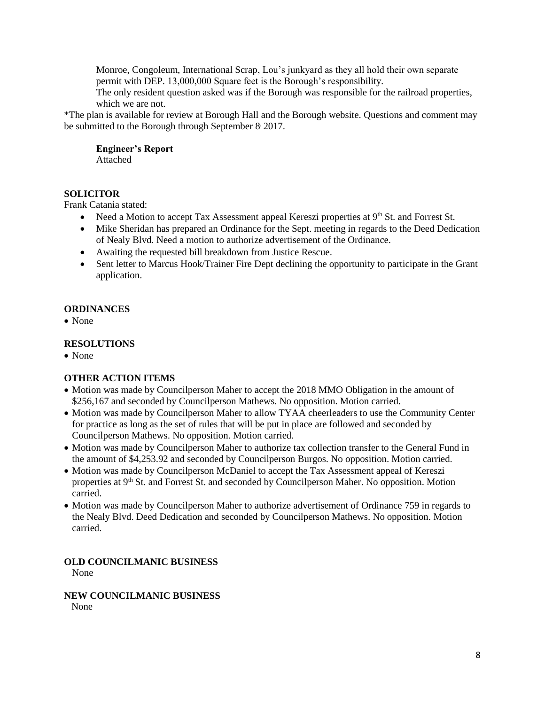Monroe, Congoleum, International Scrap, Lou's junkyard as they all hold their own separate permit with DEP. 13,000,000 Square feet is the Borough's responsibility.

The only resident question asked was if the Borough was responsible for the railroad properties, which we are not.

\*The plan is available for review at Borough Hall and the Borough website. Questions and comment may be submitted to the Borough through September 8 2017.

**Engineer's Report** Attached

## **SOLICITOR**

Frank Catania stated:

- Need a Motion to accept Tax Assessment appeal Kereszi properties at  $9<sup>th</sup>$  St. and Forrest St.
- Mike Sheridan has prepared an Ordinance for the Sept. meeting in regards to the Deed Dedication of Nealy Blvd. Need a motion to authorize advertisement of the Ordinance.
- Awaiting the requested bill breakdown from Justice Rescue.
- Sent letter to Marcus Hook/Trainer Fire Dept declining the opportunity to participate in the Grant application.

## **ORDINANCES**

• None

## **RESOLUTIONS**

• None

# **OTHER ACTION ITEMS**

- Motion was made by Councilperson Maher to accept the 2018 MMO Obligation in the amount of \$256,167 and seconded by Councilperson Mathews. No opposition. Motion carried.
- Motion was made by Councilperson Maher to allow TYAA cheerleaders to use the Community Center for practice as long as the set of rules that will be put in place are followed and seconded by Councilperson Mathews. No opposition. Motion carried.
- Motion was made by Councilperson Maher to authorize tax collection transfer to the General Fund in the amount of \$4,253.92 and seconded by Councilperson Burgos. No opposition. Motion carried.
- Motion was made by Councilperson McDaniel to accept the Tax Assessment appeal of Kereszi properties at 9th St. and Forrest St. and seconded by Councilperson Maher. No opposition. Motion carried.
- Motion was made by Councilperson Maher to authorize advertisement of Ordinance 759 in regards to the Nealy Blvd. Deed Dedication and seconded by Councilperson Mathews. No opposition. Motion carried.

**OLD COUNCILMANIC BUSINESS** None

**NEW COUNCILMANIC BUSINESS**  None